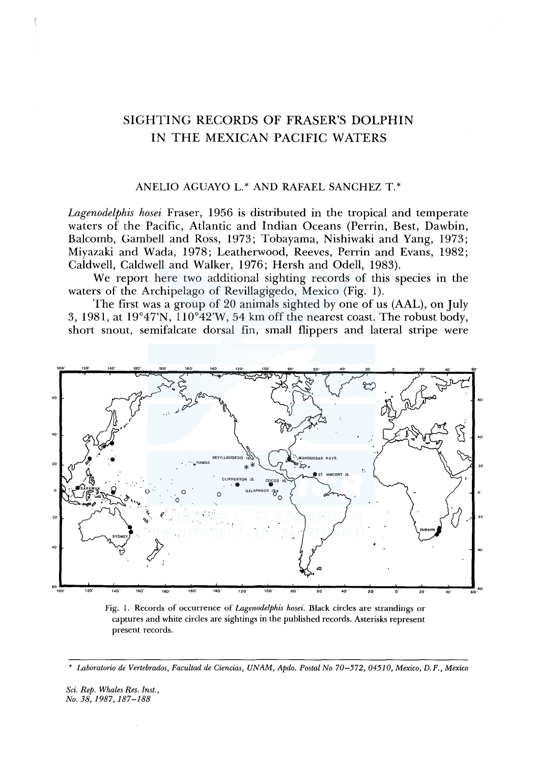## SIGHTING RECORDS OF FRASER'S DOLPHIN IN THE MEXICAN PACIFIC WATERS

## ANELIO AGUAYO L.\* AND RAFAEL SANCHEZ T.\*

Lagenodelphis hosei Fraser, 1956 is distributed in the tropical and temperate waters of the Pacific, Atlantic and Indian Oceans (Perrin, Best, Dawbin, Balcomb, Gambell and Ross, 1973; Tobayama, Nishiwaki and Yang, 1973; Miyazaki and Wada, 1978; Leatherwood, Reeves, Perrin and Evans, 1982; Caldwell, Caldwell and Walker, 1976; Hersh and Odell, 1983).

We report here two additional sighting records of this species in the waters of the Archipelago of Revillagigedo, Mexico (Fig. 1).

The first was a group of 20 animals sighted by one of us (AAL), on July 3, 1981, at 19°47'N,  $110°42'W$ , 54 km off the nearest coast. The robust body, short snout, semifalcate dorsal fin, small flippers and lateral stripe were



Fig. 1. Records of occurrence of Lagenodelphis hosei. Black circles are strandings or captures and white circles are sightings in the published records. Asterisks represent present records.

Laboratorio de Vertebrados, Facultad de Ciencias, UNAM, Apdo. Postal No 70-572, 04510, Mexico, D.F., Mexico

Sci. Rep. Whales Res. Inst., No. 38, 1987, 187–188